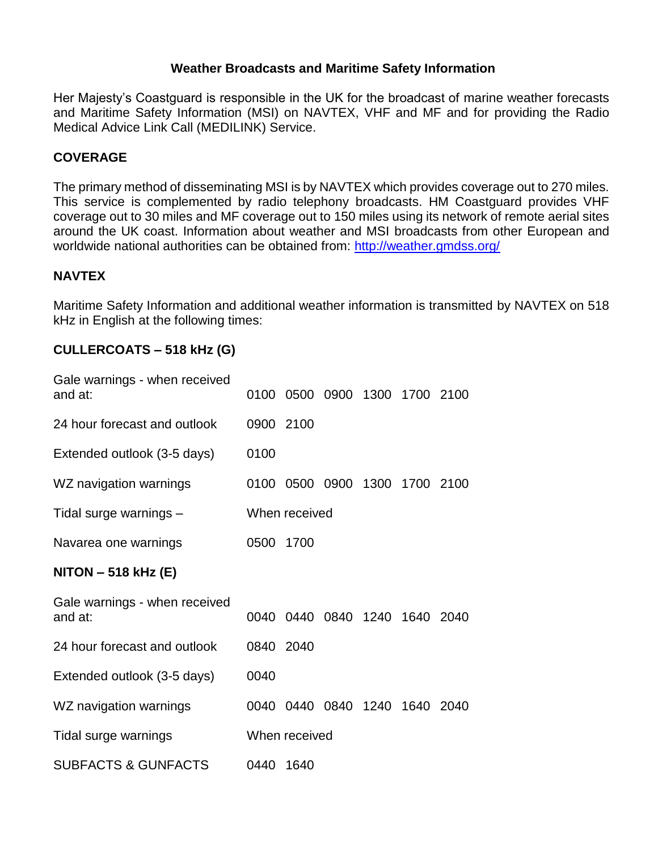### **Weather Broadcasts and Maritime Safety Information**

Her Majesty's Coastguard is responsible in the UK for the broadcast of marine weather forecasts and Maritime Safety Information (MSI) on NAVTEX, VHF and MF and for providing the Radio Medical Advice Link Call (MEDILINK) Service.

### **COVERAGE**

The primary method of disseminating MSI is by NAVTEX which provides coverage out to 270 miles. This service is complemented by radio telephony broadcasts. HM Coastguard provides VHF coverage out to 30 miles and MF coverage out to 150 miles using its network of remote aerial sites around the UK coast. Information about weather and MSI broadcasts from other European and worldwide national authorities can be obtained from:<http://weather.gmdss.org/>

### **NAVTEX**

Maritime Safety Information and additional weather information is transmitted by NAVTEX on 518 kHz in English at the following times:

### **CULLERCOATS – 518 kHz (G)**

| Gale warnings - when received<br>and at: | 0100      |               | 0500 0900                     | 1300 1700 2100 |  |
|------------------------------------------|-----------|---------------|-------------------------------|----------------|--|
| 24 hour forecast and outlook             | 0900 2100 |               |                               |                |  |
| Extended outlook (3-5 days)              | 0100      |               |                               |                |  |
| WZ navigation warnings                   |           |               | 0100 0500 0900 1300 1700 2100 |                |  |
| Tidal surge warnings -                   |           | When received |                               |                |  |
| Navarea one warnings                     | 0500      | 1700          |                               |                |  |
| $NITON - 518 kHz (E)$                    |           |               |                               |                |  |
| Gale warnings - when received<br>and at: |           |               | 0040 0440 0840 1240           | 1640 2040      |  |
| 24 hour forecast and outlook             | 0840 2040 |               |                               |                |  |
| Extended outlook (3-5 days)              | 0040      |               |                               |                |  |
| WZ navigation warnings                   |           |               | 0040 0440 0840                | 1240 1640 2040 |  |
| Tidal surge warnings                     |           | When received |                               |                |  |
| <b>SUBFACTS &amp; GUNFACTS</b>           | 0440      | 1640          |                               |                |  |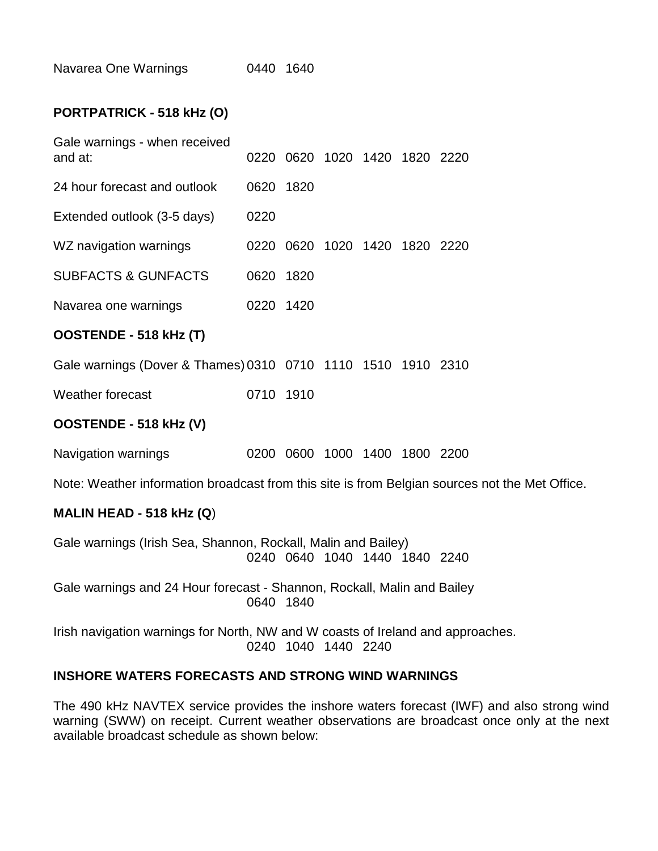| Navarea One Warnings |  | 0440 1640 |
|----------------------|--|-----------|
|----------------------|--|-----------|

### **PORTPATRICK - 518 kHz (O)**

| Gale warnings - when received<br>and at:                                   |           |  | 0220 0620 1020 1420 1820 2220 |  |
|----------------------------------------------------------------------------|-----------|--|-------------------------------|--|
| 24 hour forecast and outlook                                               | 0620 1820 |  |                               |  |
| Extended outlook (3-5 days)                                                | 0220      |  |                               |  |
| WZ navigation warnings                                                     |           |  | 0220 0620 1020 1420 1820 2220 |  |
| <b>SUBFACTS &amp; GUNFACTS</b>                                             | 0620 1820 |  |                               |  |
| Navarea one warnings                                                       | 0220 1420 |  |                               |  |
| OOSTENDE - 518 kHz (T)                                                     |           |  |                               |  |
| Gale warnings (Dover & Thames) 0310 0710 1110 1510 1910 2310               |           |  |                               |  |
| Weather forecast                                                           | 0710 1910 |  |                               |  |
| OOSTENDE - 518 kHz (V)                                                     |           |  |                               |  |
| Navigation warnings                                                        |           |  | 0200 0600 1000 1400 1800 2200 |  |
| Note: Weather information broadcast from this site is from Belgian sources |           |  |                               |  |
| MALIN HEAD - 518 kHz $(Q)$                                                 |           |  |                               |  |

Gale warnings (Irish Sea, Shannon, Rockall, Malin and Bailey) 0240 0640 1040 1440 1840 2240

Gale warnings and 24 Hour forecast - Shannon, Rockall, Malin and Bailey 0640 1840

Irish navigation warnings for North, NW and W coasts of Ireland and approaches. 0240 1040 1440 2240

#### **INSHORE WATERS FORECASTS AND STRONG WIND WARNINGS**

The 490 kHz NAVTEX service provides the inshore waters forecast (IWF) and also strong wind warning (SWW) on receipt. Current weather observations are broadcast once only at the next available broadcast schedule as shown below:

not the Met Office.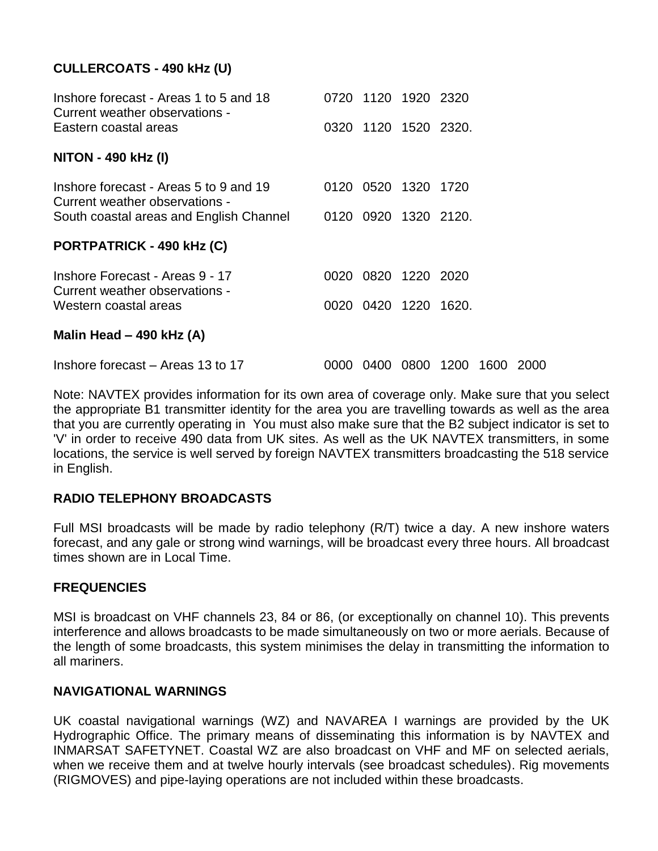# **CULLERCOATS - 490 kHz (U)**

| Inshore forecast - Areas 1 to 5 and 18<br>Current weather observations - | 0720 1120 1920 2320  |                          |      |
|--------------------------------------------------------------------------|----------------------|--------------------------|------|
| Eastern coastal areas                                                    | 0320 1120 1520 2320. |                          |      |
| <b>NITON - 490 kHz (I)</b>                                               |                      |                          |      |
| Inshore forecast - Areas 5 to 9 and 19<br>Current weather observations - | 0120 0520 1320 1720  |                          |      |
| South coastal areas and English Channel                                  | 0120 0920 1320 2120. |                          |      |
| PORTPATRICK - 490 kHz (C)                                                |                      |                          |      |
| Inshore Forecast - Areas 9 - 17<br>Current weather observations -        | 0020 0820 1220 2020  |                          |      |
| Western coastal areas                                                    | 0020 0420 1220 1620. |                          |      |
| Malin Head - 490 kHz (A)                                                 |                      |                          |      |
| Inshore forecast – Areas 13 to 17                                        |                      | 0000 0400 0800 1200 1600 | 2000 |

Note: NAVTEX provides information for its own area of coverage only. Make sure that you select the appropriate B1 transmitter identity for the area you are travelling towards as well as the area that you are currently operating in You must also make sure that the B2 subject indicator is set to 'V' in order to receive 490 data from UK sites. As well as the UK NAVTEX transmitters, in some locations, the service is well served by foreign NAVTEX transmitters broadcasting the 518 service in English.

### **RADIO TELEPHONY BROADCASTS**

Full MSI broadcasts will be made by radio telephony (R/T) twice a day. A new inshore waters forecast, and any gale or strong wind warnings, will be broadcast every three hours. All broadcast times shown are in Local Time.

### **FREQUENCIES**

MSI is broadcast on VHF channels 23, 84 or 86, (or exceptionally on channel 10). This prevents interference and allows broadcasts to be made simultaneously on two or more aerials. Because of the length of some broadcasts, this system minimises the delay in transmitting the information to all mariners.

### **NAVIGATIONAL WARNINGS**

UK coastal navigational warnings (WZ) and NAVAREA I warnings are provided by the UK Hydrographic Office. The primary means of disseminating this information is by NAVTEX and INMARSAT SAFETYNET. Coastal WZ are also broadcast on VHF and MF on selected aerials, when we receive them and at twelve hourly intervals (see broadcast schedules). Rig movements (RIGMOVES) and pipe-laying operations are not included within these broadcasts.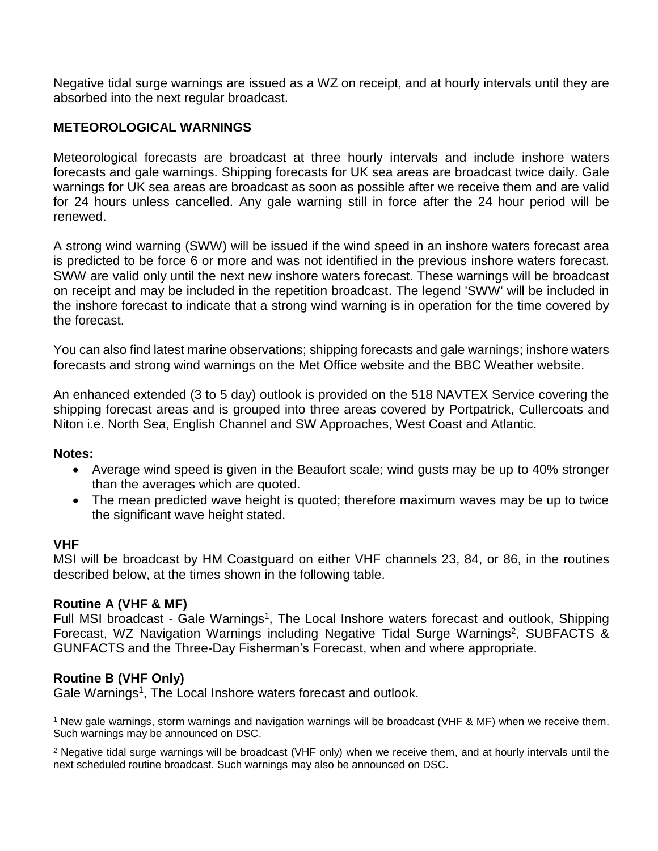Negative tidal surge warnings are issued as a WZ on receipt, and at hourly intervals until they are absorbed into the next regular broadcast.

# **METEOROLOGICAL WARNINGS**

Meteorological forecasts are broadcast at three hourly intervals and include inshore waters forecasts and gale warnings. Shipping forecasts for UK sea areas are broadcast twice daily. Gale warnings for UK sea areas are broadcast as soon as possible after we receive them and are valid for 24 hours unless cancelled. Any gale warning still in force after the 24 hour period will be renewed.

A strong wind warning (SWW) will be issued if the wind speed in an inshore waters forecast area is predicted to be force 6 or more and was not identified in the previous inshore waters forecast. SWW are valid only until the next new inshore waters forecast. These warnings will be broadcast on receipt and may be included in the repetition broadcast. The legend 'SWW' will be included in the inshore forecast to indicate that a strong wind warning is in operation for the time covered by the forecast.

You can also find latest marine observations; shipping forecasts and gale warnings; inshore waters forecasts and strong wind warnings on the Met Office website and the BBC Weather website.

An enhanced extended (3 to 5 day) outlook is provided on the 518 NAVTEX Service covering the shipping forecast areas and is grouped into three areas covered by Portpatrick, Cullercoats and Niton i.e. North Sea, English Channel and SW Approaches, West Coast and Atlantic.

### **Notes:**

- Average wind speed is given in the Beaufort scale; wind gusts may be up to 40% stronger than the averages which are quoted.
- The mean predicted wave height is quoted; therefore maximum waves may be up to twice the significant wave height stated.

### **VHF**

MSI will be broadcast by HM Coastguard on either VHF channels 23, 84, or 86, in the routines described below, at the times shown in the following table.

### **Routine A (VHF & MF)**

Full MSI broadcast - Gale Warnings<sup>1</sup>, The Local Inshore waters forecast and outlook, Shipping Forecast, WZ Navigation Warnings including Negative Tidal Surge Warnings<sup>2</sup>, SUBFACTS & GUNFACTS and the Three-Day Fisherman's Forecast, when and where appropriate.

### **Routine B (VHF Only)**

Gale Warnings<sup>1</sup>, The Local Inshore waters forecast and outlook.

<sup>1</sup> New gale warnings, storm warnings and navigation warnings will be broadcast (VHF & MF) when we receive them. Such warnings may be announced on DSC.

<sup>2</sup> Negative tidal surge warnings will be broadcast (VHF only) when we receive them, and at hourly intervals until the next scheduled routine broadcast. Such warnings may also be announced on DSC.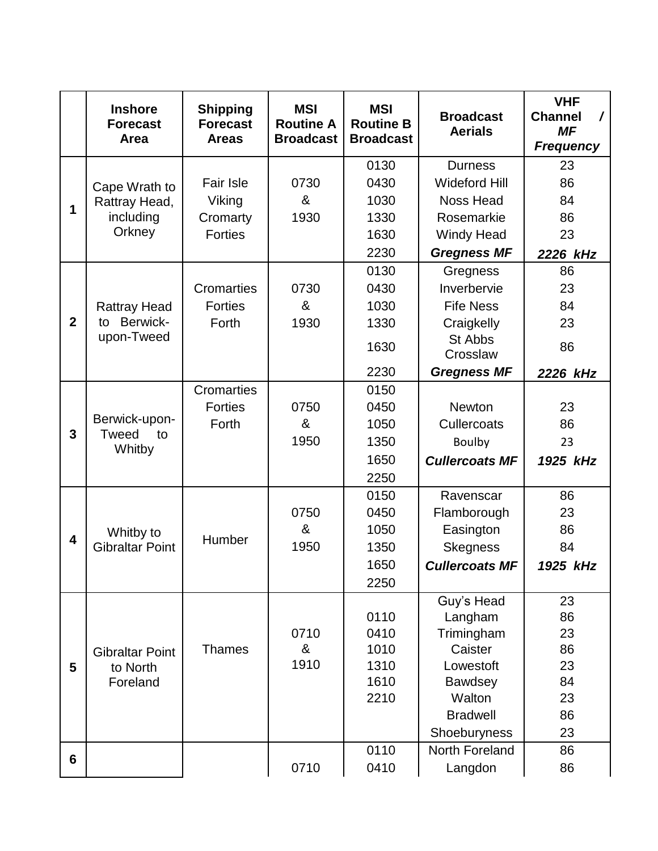|              | <b>Inshore</b><br><b>Forecast</b><br>Area | <b>Shipping</b><br><b>Forecast</b><br><b>Areas</b> | <b>MSI</b><br><b>Routine A</b><br><b>Broadcast</b> | <b>MSI</b><br><b>Routine B</b><br><b>Broadcast</b> | <b>Broadcast</b><br><b>Aerials</b> | <b>VHF</b><br><b>Channel</b><br>7<br><b>MF</b><br><b>Frequency</b> |
|--------------|-------------------------------------------|----------------------------------------------------|----------------------------------------------------|----------------------------------------------------|------------------------------------|--------------------------------------------------------------------|
|              |                                           |                                                    |                                                    | 0130                                               | <b>Durness</b>                     | 23                                                                 |
|              | Cape Wrath to                             | <b>Fair Isle</b>                                   | 0730                                               | 0430                                               | <b>Wideford Hill</b>               | 86                                                                 |
|              | Rattray Head,                             | Viking                                             | &                                                  | 1030                                               | <b>Noss Head</b>                   | 84                                                                 |
| 1            | including                                 | Cromarty                                           | 1930                                               | 1330                                               | Rosemarkie                         | 86                                                                 |
|              | Orkney                                    | <b>Forties</b>                                     |                                                    | 1630                                               | <b>Windy Head</b>                  | 23                                                                 |
|              |                                           |                                                    |                                                    | 2230                                               | <b>Gregness MF</b>                 | 2226 kHz                                                           |
|              |                                           |                                                    |                                                    | 0130                                               | Gregness                           | 86                                                                 |
|              |                                           | Cromarties                                         | 0730                                               | 0430                                               | Inverbervie                        | 23                                                                 |
|              | <b>Rattray Head</b>                       | <b>Forties</b>                                     | &                                                  | 1030                                               | <b>Fife Ness</b>                   | 84                                                                 |
| $\mathbf{2}$ | Berwick-<br>to                            | Forth                                              | 1930                                               | 1330                                               | Craigkelly                         | 23                                                                 |
|              | upon-Tweed                                |                                                    |                                                    | 1630                                               | St Abbs<br>Crosslaw                | 86                                                                 |
|              |                                           |                                                    |                                                    | 2230                                               | <b>Gregness MF</b>                 | 2226 kHz                                                           |
|              |                                           | <b>Cromarties</b>                                  |                                                    | 0150                                               |                                    |                                                                    |
|              |                                           | <b>Forties</b>                                     | 0750                                               | 0450                                               | <b>Newton</b>                      | 23                                                                 |
| 3            | Berwick-upon-                             | Forth                                              | &                                                  | 1050                                               | <b>Cullercoats</b>                 | 86                                                                 |
|              | <b>Tweed</b><br>to<br>Whitby              |                                                    | 1950                                               | 1350                                               | <b>Boulby</b>                      | 23                                                                 |
|              |                                           |                                                    |                                                    | 1650                                               | <b>Cullercoats MF</b>              | 1925 kHz                                                           |
|              |                                           |                                                    |                                                    | 2250                                               |                                    |                                                                    |
|              |                                           |                                                    |                                                    | 0150                                               | Ravenscar                          | 86                                                                 |
|              |                                           |                                                    | 0750                                               | 0450                                               | Flamborough                        | 23                                                                 |
|              | Whitby to                                 |                                                    | &                                                  | 1050                                               | Easington                          | 86                                                                 |
| 4            | <b>Gibraltar Point</b>                    | Humber                                             | 1950                                               | 1350                                               | <b>Skegness</b>                    | 84                                                                 |
|              |                                           |                                                    |                                                    | 1650                                               | <b>Cullercoats MF</b>              | 1925 kHz                                                           |
|              |                                           |                                                    |                                                    | 2250                                               |                                    |                                                                    |
|              |                                           |                                                    |                                                    |                                                    | Guy's Head                         | 23                                                                 |
|              |                                           |                                                    |                                                    | 0110                                               | Langham                            | 86                                                                 |
|              |                                           |                                                    | 0710                                               | 0410                                               | Trimingham                         | 23                                                                 |
|              | <b>Gibraltar Point</b>                    | <b>Thames</b>                                      | &                                                  | 1010                                               | Caister                            | 86                                                                 |
| 5            | to North                                  |                                                    | 1910                                               | 1310                                               | Lowestoft                          | 23                                                                 |
|              | Foreland                                  |                                                    |                                                    | 1610                                               | <b>Bawdsey</b>                     | 84                                                                 |
|              |                                           |                                                    |                                                    | 2210                                               | Walton                             | 23                                                                 |
|              |                                           |                                                    |                                                    |                                                    | <b>Bradwell</b>                    | 86                                                                 |
|              |                                           |                                                    |                                                    |                                                    | Shoeburyness                       | 23                                                                 |
| 6            |                                           |                                                    |                                                    | 0110                                               | North Foreland                     | 86                                                                 |
|              |                                           |                                                    | 0710                                               | 0410                                               | Langdon                            | 86                                                                 |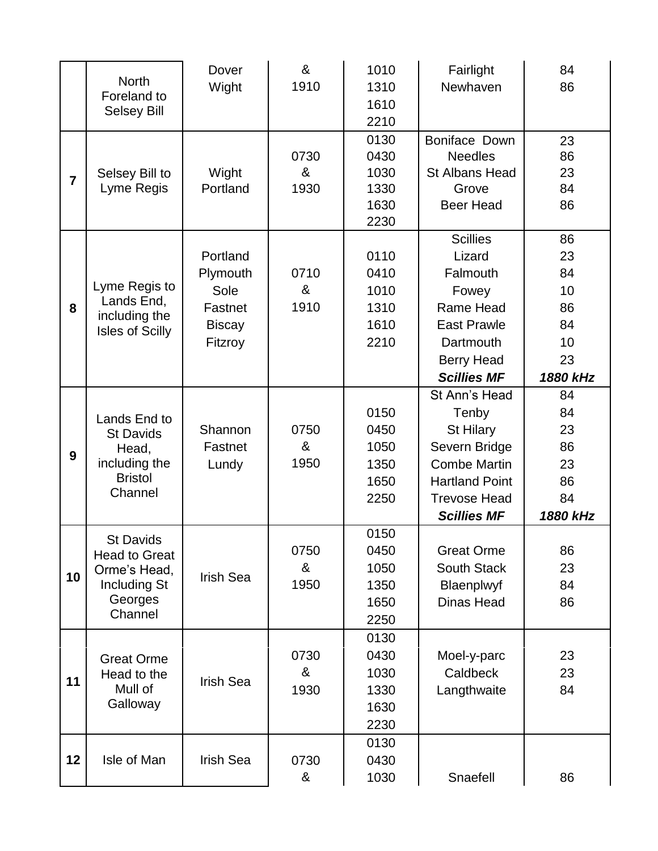|                | <b>North</b>                                                                                   | Dover<br>Wight                                                      | &<br>1910         | 1010<br>1310                                 | Fairlight<br>Newhaven                                                                                                                             | 84<br>86                                                 |
|----------------|------------------------------------------------------------------------------------------------|---------------------------------------------------------------------|-------------------|----------------------------------------------|---------------------------------------------------------------------------------------------------------------------------------------------------|----------------------------------------------------------|
|                | Foreland to<br><b>Selsey Bill</b>                                                              |                                                                     |                   | 1610<br>2210                                 |                                                                                                                                                   |                                                          |
| $\overline{7}$ | Selsey Bill to<br>Lyme Regis                                                                   | Wight<br>Portland                                                   | 0730<br>&<br>1930 | 0130<br>0430<br>1030<br>1330<br>1630<br>2230 | Boniface Down<br><b>Needles</b><br><b>St Albans Head</b><br>Grove<br><b>Beer Head</b>                                                             | 23<br>86<br>23<br>84<br>86                               |
| 8              | Lyme Regis to<br>Lands End,<br>including the<br><b>Isles of Scilly</b>                         | Portland<br>Plymouth<br>Sole<br>Fastnet<br><b>Biscay</b><br>Fitzroy | 0710<br>&<br>1910 | 0110<br>0410<br>1010<br>1310<br>1610<br>2210 | <b>Scillies</b><br>Lizard<br>Falmouth<br>Fowey<br>Rame Head<br><b>East Prawle</b><br>Dartmouth<br><b>Berry Head</b><br><b>Scillies MF</b>         | 86<br>23<br>84<br>10<br>86<br>84<br>10<br>23<br>1880 kHz |
| 9              | Lands End to<br><b>St Davids</b><br>Head,<br>including the<br><b>Bristol</b><br>Channel        | Shannon<br>Fastnet<br>Lundy                                         | 0750<br>&<br>1950 | 0150<br>0450<br>1050<br>1350<br>1650<br>2250 | St Ann's Head<br>Tenby<br>St Hilary<br>Severn Bridge<br><b>Combe Martin</b><br><b>Hartland Point</b><br><b>Trevose Head</b><br><b>Scillies MF</b> | 84<br>84<br>23<br>86<br>23<br>86<br>84<br>1880 kHz       |
| 10             | <b>St Davids</b><br><b>Head to Great</b><br>Orme's Head,<br>Including St<br>Georges<br>Channel | Irish Sea                                                           | 0750<br>&<br>1950 | 0150<br>0450<br>1050<br>1350<br>1650<br>2250 | <b>Great Orme</b><br><b>South Stack</b><br>Blaenplwyf<br><b>Dinas Head</b>                                                                        | 86<br>23<br>84<br>86                                     |
| 11             | <b>Great Orme</b><br>Head to the<br>Mull of<br>Galloway                                        | <b>Irish Sea</b>                                                    | 0730<br>&<br>1930 | 0130<br>0430<br>1030<br>1330<br>1630<br>2230 | Moel-y-parc<br>Caldbeck<br>Langthwaite                                                                                                            | 23<br>23<br>84                                           |
| 12             | Isle of Man                                                                                    | Irish Sea                                                           | 0730<br>&         | 0130<br>0430<br>1030                         | Snaefell                                                                                                                                          | 86                                                       |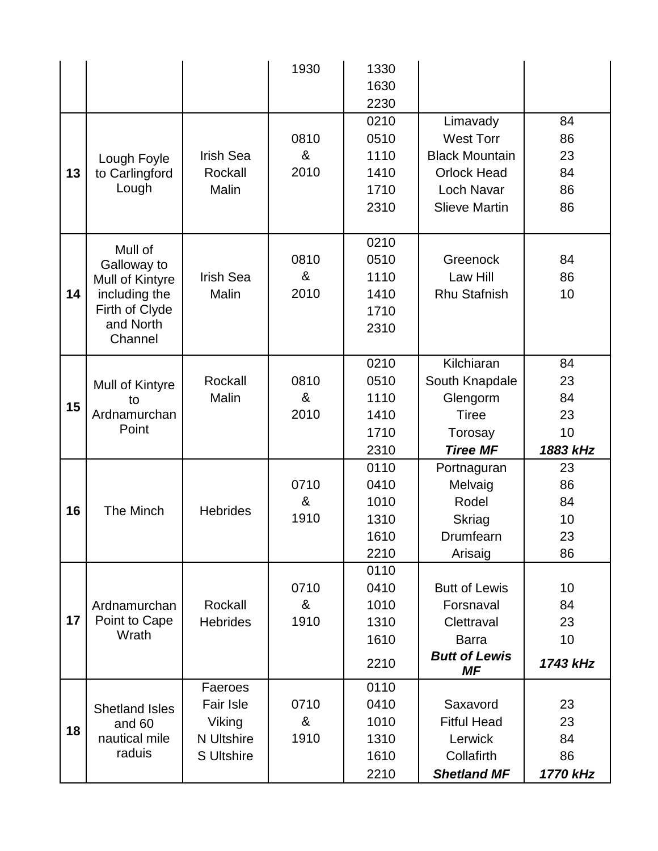|    |                       |                   | 1930 | 1330 |                            |          |
|----|-----------------------|-------------------|------|------|----------------------------|----------|
|    |                       |                   |      | 1630 |                            |          |
|    |                       |                   |      | 2230 |                            |          |
|    |                       |                   |      | 0210 | Limavady                   | 84       |
|    |                       |                   | 0810 | 0510 | <b>West Torr</b>           | 86       |
|    | Lough Foyle           | <b>Irish Sea</b>  | &    | 1110 | <b>Black Mountain</b>      | 23       |
| 13 | to Carlingford        | Rockall           | 2010 | 1410 | <b>Orlock Head</b>         | 84       |
|    | Lough                 | Malin             |      | 1710 | Loch Navar                 | 86       |
|    |                       |                   |      | 2310 | <b>Slieve Martin</b>       | 86       |
|    |                       |                   |      |      |                            |          |
|    | Mull of               |                   |      | 0210 |                            |          |
|    | Galloway to           |                   | 0810 | 0510 | Greenock                   | 84       |
|    | Mull of Kintyre       | <b>Irish Sea</b>  | &    | 1110 | Law Hill                   | 86       |
| 14 | including the         | Malin             | 2010 | 1410 | <b>Rhu Stafnish</b>        | 10       |
|    | Firth of Clyde        |                   |      | 1710 |                            |          |
|    | and North             |                   |      | 2310 |                            |          |
|    | Channel               |                   |      |      |                            |          |
|    |                       |                   |      | 0210 | Kilchiaran                 | 84       |
|    | Mull of Kintyre       | Rockall           | 0810 | 0510 | South Knapdale             | 23       |
|    | to                    | Malin             | &    | 1110 | Glengorm                   | 84       |
| 15 | Ardnamurchan          |                   | 2010 | 1410 | <b>Tiree</b>               | 23       |
|    | Point                 |                   |      | 1710 | Torosay                    | 10       |
|    |                       |                   |      | 2310 | <b>Tiree MF</b>            | 1883 kHz |
|    |                       |                   |      | 0110 | Portnaguran                | 23       |
|    |                       |                   | 0710 | 0410 | Melvaig                    | 86       |
|    |                       |                   | &    | 1010 | Rodel                      | 84       |
| 16 | The Minch             | <b>Hebrides</b>   | 1910 | 1310 | <b>Skriag</b>              | 10       |
|    |                       |                   |      | 1610 | Drumfearn                  | 23       |
|    |                       |                   |      | 2210 | Arisaig                    | 86       |
|    |                       |                   |      | 0110 |                            |          |
|    |                       |                   | 0710 | 0410 | <b>Butt of Lewis</b>       | 10       |
|    | Ardnamurchan          | Rockall           | &    | 1010 | Forsnaval                  | 84       |
| 17 | Point to Cape         | <b>Hebrides</b>   | 1910 | 1310 | Clettraval                 | 23       |
|    | Wrath                 |                   |      | 1610 | <b>Barra</b>               | 10       |
|    |                       |                   |      | 2210 | <b>Butt of Lewis</b><br>ΜF | 1743 kHz |
|    |                       | Faeroes           |      | 0110 |                            |          |
|    | <b>Shetland Isles</b> | <b>Fair Isle</b>  | 0710 | 0410 | Saxavord                   | 23       |
|    | and 60                | Viking            | &    | 1010 | <b>Fitful Head</b>         | 23       |
| 18 | nautical mile         | <b>N</b> Ultshire | 1910 | 1310 | Lerwick                    | 84       |
|    | raduis                | <b>S</b> Ultshire |      | 1610 | Collafirth                 | 86       |
|    |                       |                   |      | 2210 | <b>Shetland MF</b>         | 1770 kHz |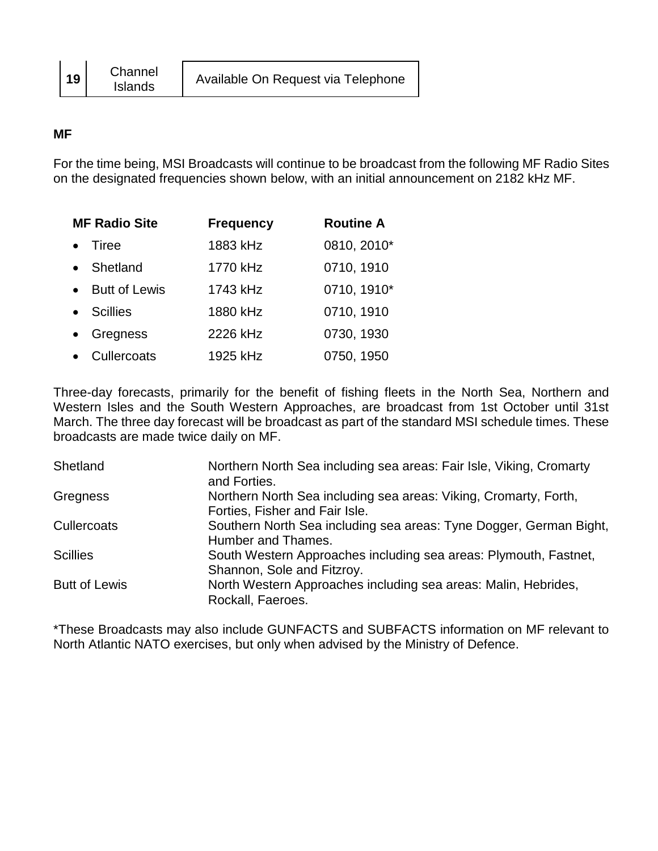### **MF**

For the time being, MSI Broadcasts will continue to be broadcast from the following MF Radio Sites on the designated frequencies shown below, with an initial announcement on 2182 kHz MF.

|           | <b>MF Radio Site</b> | <b>Frequency</b> | <b>Routine A</b> |
|-----------|----------------------|------------------|------------------|
|           | <b>Tiree</b>         | 1883 kHz         | 0810, 2010*      |
|           | • Shetland           | 1770 kHz         | 0710, 1910       |
|           | • Butt of Lewis      | 1743 kHz         | 0710, 1910*      |
|           | • Scillies           | 1880 kHz         | 0710, 1910       |
| $\bullet$ | Gregness             | 2226 kHz         | 0730, 1930       |
|           | Cullercoats          | 1925 kHz         | 0750, 1950       |

Three-day forecasts, primarily for the benefit of fishing fleets in the North Sea, Northern and Western Isles and the South Western Approaches, are broadcast from 1st October until 31st March. The three day forecast will be broadcast as part of the standard MSI schedule times. These broadcasts are made twice daily on MF.

| Shetland             | Northern North Sea including sea areas: Fair Isle, Viking, Cromarty<br>and Forties.                |
|----------------------|----------------------------------------------------------------------------------------------------|
| Gregness             | Northern North Sea including sea areas: Viking, Cromarty, Forth,<br>Forties, Fisher and Fair Isle. |
| <b>Cullercoats</b>   | Southern North Sea including sea areas: Tyne Dogger, German Bight,<br>Humber and Thames.           |
| <b>Scillies</b>      | South Western Approaches including sea areas: Plymouth, Fastnet,<br>Shannon, Sole and Fitzroy.     |
| <b>Butt of Lewis</b> | North Western Approaches including sea areas: Malin, Hebrides,<br>Rockall, Faeroes.                |

\*These Broadcasts may also include GUNFACTS and SUBFACTS information on MF relevant to North Atlantic NATO exercises, but only when advised by the Ministry of Defence.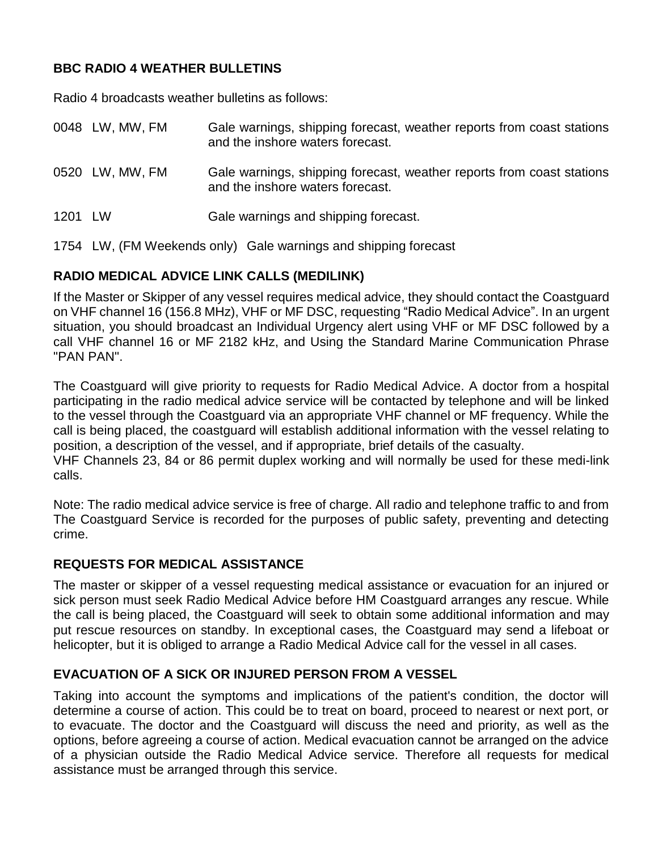# **BBC RADIO 4 WEATHER BULLETINS**

Radio 4 broadcasts weather bulletins as follows:

|      | 0048 LW, MW, FM | Gale warnings, shipping forecast, weather reports from coast stations<br>and the inshore waters forecast. |
|------|-----------------|-----------------------------------------------------------------------------------------------------------|
|      | 0520 LW, MW, FM | Gale warnings, shipping forecast, weather reports from coast stations<br>and the inshore waters forecast. |
| 1201 | I W             | Gale warnings and shipping forecast.                                                                      |

1754 LW, (FM Weekends only) Gale warnings and shipping forecast

### **RADIO MEDICAL ADVICE LINK CALLS (MEDILINK)**

If the Master or Skipper of any vessel requires medical advice, they should contact the Coastguard on VHF channel 16 (156.8 MHz), VHF or MF DSC, requesting "Radio Medical Advice". In an urgent situation, you should broadcast an Individual Urgency alert using VHF or MF DSC followed by a call VHF channel 16 or MF 2182 kHz, and Using the Standard Marine Communication Phrase "PAN PAN".

The Coastguard will give priority to requests for Radio Medical Advice. A doctor from a hospital participating in the radio medical advice service will be contacted by telephone and will be linked to the vessel through the Coastguard via an appropriate VHF channel or MF frequency. While the call is being placed, the coastguard will establish additional information with the vessel relating to position, a description of the vessel, and if appropriate, brief details of the casualty.

VHF Channels 23, 84 or 86 permit duplex working and will normally be used for these medi-link calls.

Note: The radio medical advice service is free of charge. All radio and telephone traffic to and from The Coastguard Service is recorded for the purposes of public safety, preventing and detecting crime.

# **REQUESTS FOR MEDICAL ASSISTANCE**

The master or skipper of a vessel requesting medical assistance or evacuation for an injured or sick person must seek Radio Medical Advice before HM Coastguard arranges any rescue. While the call is being placed, the Coastguard will seek to obtain some additional information and may put rescue resources on standby. In exceptional cases, the Coastguard may send a lifeboat or helicopter, but it is obliged to arrange a Radio Medical Advice call for the vessel in all cases.

### **EVACUATION OF A SICK OR INJURED PERSON FROM A VESSEL**

Taking into account the symptoms and implications of the patient's condition, the doctor will determine a course of action. This could be to treat on board, proceed to nearest or next port, or to evacuate. The doctor and the Coastguard will discuss the need and priority, as well as the options, before agreeing a course of action. Medical evacuation cannot be arranged on the advice of a physician outside the Radio Medical Advice service. Therefore all requests for medical assistance must be arranged through this service.